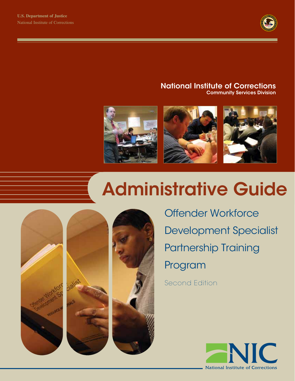

#### National Institute of Corrections Community Services Division



# Administrative Guide



Offender Workforce Development Specialist Partnership Training Program

Second Edition

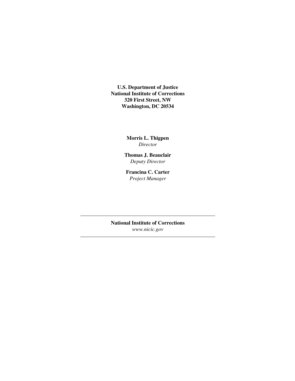**U.S. Department of Justice National Institute of Corrections 320 First Street, NW Washington, DC 20534**

> **Morris L. Thigpen** *Director*

**Thomas J. Beauclair** *Deputy Director*

**Francina C. Carter** *Project Manager*

**National Institute of Corrections** *www.nicic.gov*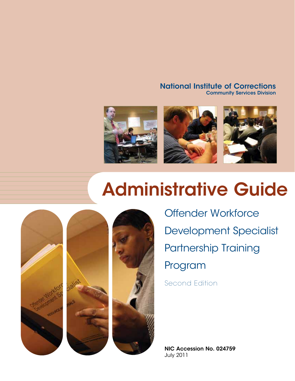#### National Institute of Corrections Community Services Division



# Administrative Guide



Offender Workforce Development Specialist Partnership Training Program

Second Edition

NIC Accession No. 024759 July 2011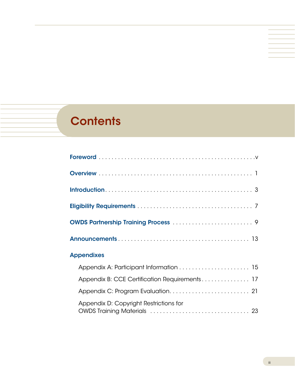# **Contents**

| <b>Appendixes</b>                             |  |
|-----------------------------------------------|--|
|                                               |  |
| Appendix B: CCE Certification Requirements 17 |  |
|                                               |  |
| Appendix D: Copyright Restrictions for        |  |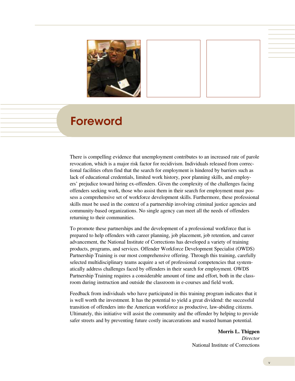

## Foreword

There is compelling evidence that unemployment contributes to an increased rate of parole revocation, which is a major risk factor for recidivism. Individuals released from correctional facilities often find that the search for employment is hindered by barriers such as lack of educational credentials, limited work history, poor planning skills, and employers' prejudice toward hiring ex-offenders. Given the complexity of the challenges facing offenders seeking work, those who assist them in their search for employment must possess a comprehensive set of workforce development skills. Furthermore, these professional skills must be used in the context of a partnership involving criminal justice agencies and community-based organizations. No single agency can meet all the needs of offenders returning to their communities.

To promote these partnerships and the development of a professional workforce that is prepared to help offenders with career planning, job placement, job retention, and career advancement, the National Institute of Corrections has developed a variety of training products, programs, and services. Offender Workforce Development Specialist (OWDS) Partnership Training is our most comprehensive offering. Through this training, carefully selected multidisciplinary teams acquire a set of professional competencies that systematically address challenges faced by offenders in their search for employment. OWDS Partnership Training requires a considerable amount of time and effort, both in the classroom during instruction and outside the classroom in e-courses and field work.

Feedback from individuals who have participated in this training program indicates that it is well worth the investment. It has the potential to yield a great dividend: the successful transition of offenders into the American workforce as productive, law-abiding citizens. Ultimately, this initiative will assist the community and the offender by helping to provide safer streets and by preventing future costly incarcerations and wasted human potential.

> **Morris L. Thigpen** *Director* National Institute of Corrections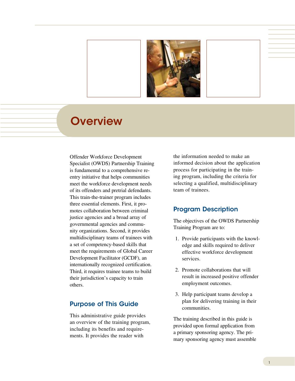

### **Overview**

Offender Workforce Development Specialist (OWDS) Partnership Training is fundamental to a comprehensive reentry initiative that helps communities meet the workforce development needs of its offenders and pretrial defendants. This train-the-trainer program includes three essential elements. First, it promotes collaboration between criminal justice agencies and a broad array of governmental agencies and community organizations. Second, it provides multidisciplinary teams of trainees with a set of competency-based skills that meet the requirements of Global Career Development Facilitator (GCDF), an internationally recognized certification. Third, it requires trainee teams to build their jurisdiction's capacity to train others.

#### Purpose of This Guide

This administrative guide provides an overview of the training program, including its benefits and requirements. It provides the reader with

the information needed to make an informed decision about the application process for participating in the training program, including the criteria for selecting a qualified, multidisciplinary team of trainees.

#### Program Description

The objectives of the OWDS Partnership Training Program are to:

- 1. Provide participants with the knowledge and skills required to deliver effective workforce development services.
- 2. Promote collaborations that will result in increased positive offender employment outcomes.
- 3. Help participant teams develop a plan for delivering training in their communities.

The training described in this guide is provided upon formal application from a primary sponsoring agency. The primary sponsoring agency must assemble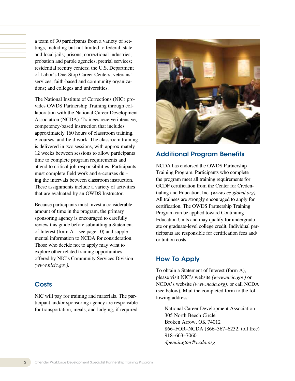a team of 30 participants from a variety of settings, including but not limited to federal, state, and local jails; prisons; correctional industries; probation and parole agencies; pretrial services; residential reentry centers; the U.S. Department of Labor's One-Stop Career Centers; veterans' services; faith-based and community organizations; and colleges and universities.

The National Institute of Corrections (NIC) provides OWDS Partnership Training through collaboration with the National Career Development Association (NCDA). Trainees receive intensive, competency-based instruction that includes approximately 160 hours of classroom training, e-courses, and field work. The classroom training is delivered in two sessions, with approximately 12 weeks between sessions to allow participants time to complete program requirements and attend to critical job responsibilities. Participants must complete field work and e-courses during the intervals between classroom instruction. These assignments include a variety of activities that are evaluated by an OWDS Instructor.

Because participants must invest a considerable amount of time in the program, the primary sponsoring agency is encouraged to carefully review this guide before submitting a Statement of Interest (form A—see page 10) and supplemental information to NCDA for consideration. Those who decide not to apply may want to explore other related training opportunities offered by NIC's Community Services Division *(www.nicic.gov).*

#### **Costs**

NIC will pay for training and materials. The participant and/or sponsoring agency are responsible for transportation, meals, and lodging, if required.



#### Additional Program Benefits

NCDA has endorsed the OWDS Partnership Training Program. Participants who complete the program meet all training requirements for GCDF certification from the Center for Credentialing and Education, Inc. *(www.cce-global.org).* All trainees are strongly encouraged to apply for certification. The OWDS Partnership Training Program can be applied toward Continuing Education Units and may qualify for undergraduate or graduate-level college credit. Individual participants are responsible for certification fees and/ or tuition costs.

#### How To Apply

To obtain a Statement of Interest (form A), please visit NIC's website *(www.nicic.gov)* or NCDA's website *(www.ncda.org),* or call NCDA (see below)*.* Mail the completed form to the following address:

 National Career Development Association 305 North Beech Circle Broken Arrow, OK 74012 866–FOR–NCDA (866–367–6232, toll free) 918–663–7060 *dpennington@ncda.org*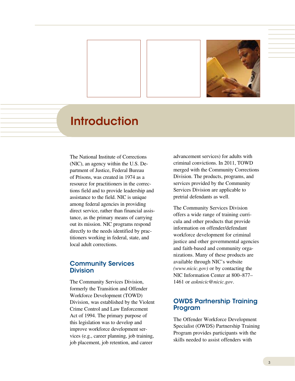

## **Introduction**

The National Institute of Corrections (NIC), an agency within the U.S. Department of Justice, Federal Bureau of Prisons, was created in 1974 as a resource for practitioners in the corrections field and to provide leadership and assistance to the field. NIC is unique among federal agencies in providing direct service, rather than financial assistance, as the primary means of carrying out its mission. NIC programs respond directly to the needs identified by practitioners working in federal, state, and local adult corrections.

#### Community Services **Division**

The Community Services Division, formerly the Transition and Offender Workforce Development (TOWD) Division, was established by the Violent Crime Control and Law Enforcement Act of 1994. The primary purpose of this legislation was to develop and improve workforce development services (e.g., career planning, job training, job placement, job retention, and career

advancement services) for adults with criminal convictions. In 2011, TOWD merged with the Community Corrections Division. The products, programs, and services provided by the Community Services Division are applicable to pretrial defendants as well.

The Community Services Division offers a wide range of training curricula and other products that provide information on offender/defendant workforce development for criminal justice and other governmental agencies and faith-based and community organizations. Many of these products are available through NIC's website *(www.nicic.gov)* or by contacting the NIC Information Center at 800–877– 1461 or *asknicic@nicic.gov*.

#### OWDS Partnership Training Program

The Offender Workforce Development Specialist (OWDS) Partnership Training Program provides participants with the skills needed to assist offenders with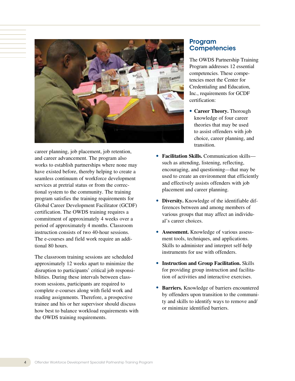

career planning, job placement, job retention, and career advancement. The program also works to establish partnerships where none may have existed before, thereby helping to create a seamless continuum of workforce development services at pretrial status or from the correctional system to the community. The training program satisfies the training requirements for Global Career Development Facilitator (GCDF) certification. The OWDS training requires a commitment of approximately 4 weeks over a period of approximately 4 months. Classroom instruction consists of two 40-hour sessions. The e-courses and field work require an additional 80 hours.

The classroom training sessions are scheduled approximately 12 weeks apart to minimize the disruption to participants' critical job responsibilities. During these intervals between classroom sessions, participants are required to complete e-courses along with field work and reading assignments. Therefore, a prospective trainee and his or her supervisor should discuss how best to balance workload requirements with the OWDS training requirements.

#### Program **Competencies**

The OWDS Partnership Training Program addresses 12 essential competencies. These competencies meet the Center for Credentialing and Education, Inc., requirements for GCDF certification:

- **Career Theory.** Thorough knowledge of four career theories that may be used to assist offenders with job choice, career planning, and transition.
- **Facilitation Skills.** Communication skills such as attending, listening, reflecting, encouraging, and questioning—that may be used to create an environment that efficiently and effectively assists offenders with job placement and career planning.
- • **Diversity.** Knowledge of the identifiable differences between and among members of various groups that may affect an individual's career choices.
- **Assessment.** Knowledge of various assessment tools, techniques, and applications. Skills to administer and interpret self-help instruments for use with offenders.
- • **Instruction and Group Facilitation.** Skills for providing group instruction and facilitation of activities and interactive exercises.
- **Barriers.** Knowledge of barriers encountered by offenders upon transition to the community and skills to identify ways to remove and/ or minimize identified barriers.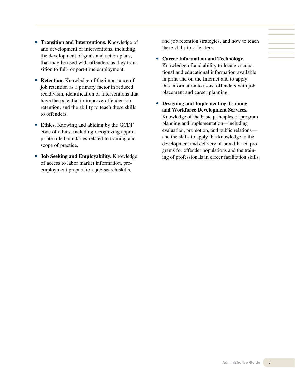- • **Transition and Interventions.** Knowledge of and development of interventions, including the development of goals and action plans, that may be used with offenders as they transition to full- or part-time employment.
- **Retention.** Knowledge of the importance of job retention as a primary factor in reduced recidivism, identification of interventions that have the potential to improve offender job retention, and the ability to teach these skills to offenders.
- **Ethics.** Knowing and abiding by the GCDF code of ethics, including recognizing appropriate role boundaries related to training and scope of practice.
- • **Job Seeking and Employability.** Knowledge of access to labor market information, preemployment preparation, job search skills,

and job retention strategies, and how to teach these skills to offenders.

- • **Career Information and Technology.**  Knowledge of and ability to locate occupational and educational information available in print and on the Internet and to apply this information to assist offenders with job placement and career planning.
- • **Designing and Implementing Training and Workforce Development Services.**  Knowledge of the basic principles of program planning and implementation—including evaluation, promotion, and public relations and the skills to apply this knowledge to the development and delivery of broad-based programs for offender populations and the training of professionals in career facilitation skills.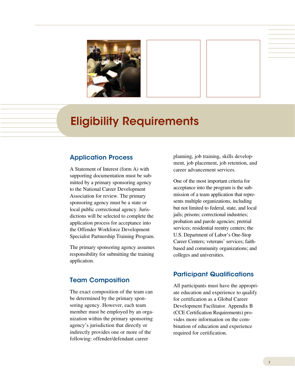

# Eligibility Requirements

#### Application Process

A Statement of Interest (form A) with supporting documentation must be submitted by a primary sponsoring agency to the National Career Development Association for review. The primary sponsoring agency must be a state or local public correctional agency. Jurisdictions will be selected to complete the application process for acceptance into the Offender Workforce Development Specialist Partnership Training Program.

The primary sponsoring agency assumes responsibility for submitting the training application.

#### Team Composition

The exact composition of the team can be determined by the primary sponsoring agency. However, each team member must be employed by an organization within the primary sponsoring agency's jurisdiction that directly or indirectly provides one or more of the following: offender/defendant career

planning, job training, skills development, job placement, job retention, and career advancement services.

One of the most important criteria for acceptance into the program is the submission of a team application that represents multiple organizations, including but not limited to federal, state, and local jails; prisons; correctional industries; probation and parole agencies; pretrial services; residential reentry centers; the U.S. Department of Labor's One-Stop Career Centers; veterans' services; faithbased and community organizations; and colleges and universities.

#### Participant Qualifications

All participants must have the appropriate education and experience to qualify for certification as a Global Career Development Facilitator. Appendix B (CCE Certification Requirements) provides more information on the combination of education and experience required for certification.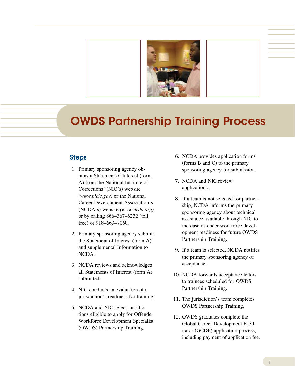

# OWDS Partnership Training Process

#### Steps

- 1. Primary sponsoring agency obtains a Statement of Interest (form A) from the National Institute of Corrections' (NIC's) website *(www.nicic.gov)* or the National Career Development Association's (NCDA's) website *(www.ncda.org),*  or by calling 866–367–6232 (toll free) or 918–663–7060.
- 2. Primary sponsoring agency submits the Statement of Interest (form A) and supplemental information to NCDA.
- 3. NCDA reviews and acknowledges all Statements of Interest (form A) submitted.
- 4. NIC conducts an evaluation of a jurisdiction's readiness for training.
- 5. NCDA and NIC select jurisdictions eligible to apply for Offender Workforce Development Specialist (OWDS) Partnership Training.
- 6. NCDA provides application forms (forms B and C) to the primary sponsoring agency for submission.
- 7. NCDA and NIC review applications.
- 8. If a team is not selected for partnership, NCDA informs the primary sponsoring agency about technical assistance available through NIC to increase offender workforce development readiness for future OWDS Partnership Training.
- 9. If a team is selected, NCDA notifies the primary sponsoring agency of acceptance.
- 10. NCDA forwards acceptance letters to trainees scheduled for OWDS Partnership Training.
- 11. The jurisdiction's team completes OWDS Partnership Training.
- 12. OWDS graduates complete the Global Career Development Facilitator (GCDF) application process, including payment of application fee.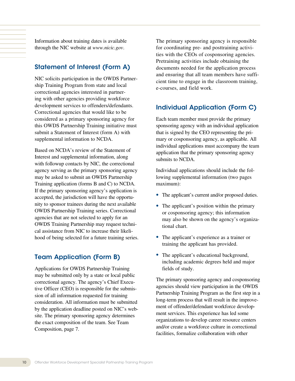Information about training dates is available through the NIC website at *www.nicic.gov*.

#### Statement of Interest (Form A)

NIC solicits participation in the OWDS Partnership Training Program from state and local correctional agencies interested in partnering with other agencies providing workforce development services to offenders/defendants. Correctional agencies that would like to be considered as a primary sponsoring agency for this OWDS Partnership Training initiative must submit a Statement of Interest (form A) with supplemental information to NCDA.

Based on NCDA's review of the Statement of Interest and supplemental information, along with followup contacts by NIC, the correctional agency serving as the primary sponsoring agency may be asked to submit an OWDS Partnership Training application (forms B and C) to NCDA. If the primary sponsoring agency's application is accepted, the jurisdiction will have the opportunity to sponsor trainees during the next available OWDS Partnership Training series. Correctional agencies that are not selected to apply for an OWDS Training Partnership may request technical assistance from NIC to increase their likelihood of being selected for a future training series.

#### Team Application (Form B)

Applications for OWDS Partnership Training may be submitted only by a state or local public correctional agency. The agency's Chief Executive Officer (CEO) is responsible for the submission of all information requested for training consideration. All information must be submitted by the application deadline posted on NIC's website. The primary sponsoring agency determines the exact composition of the team. See Team Composition, page 7.

The primary sponsoring agency is responsible for coordinating pre- and posttraining activities with the CEOs of cosponsoring agencies. Pretraining activities include obtaining the documents needed for the application process and ensuring that all team members have sufficient time to engage in the classroom training, e-courses, and field work.

#### Individual Application (Form C)

Each team member must provide the primary sponsoring agency with an individual application that is signed by the CEO representing the primary or cosponsoring agency, as applicable. All individual applications must accompany the team application that the primary sponsoring agency submits to NCDA.

Individual applications should include the following supplemental information (two pages maximum):

- The applicant's current and/or proposed duties.
- The applicant's position within the primary or cosponsoring agency; this information may also be shown on the agency's organizational chart.
- The applicant's experience as a trainer or training the applicant has provided.
- The applicant's educational background, including academic degrees held and major fields of study.

The primary sponsoring agency and cosponsoring agencies should view participation in the OWDS Partnership Training Program as the first step in a long-term process that will result in the improvement of offender/defendant workforce development services. This experience has led some organizations to develop career resource centers and/or create a workforce culture in correctional facilities, formalize collaboration with other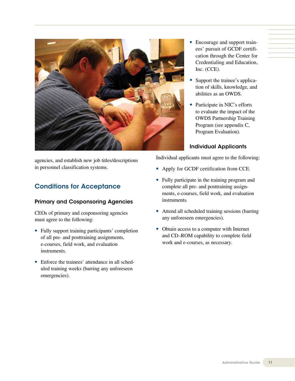

agencies, and establish new job titles/descriptions in personnel classification systems.

#### Conditions for Acceptance

#### Primary and Cosponsoring Agencies

CEOs of primary and cosponsoring agencies must agree to the following:

- Fully support training participants' completion of all pre- and posttraining assignments, e-courses, field work, and evaluation instruments.
- Enforce the trainees' attendance in all scheduled training weeks (barring any unforeseen emergencies).
- Encourage and support trainees' pursuit of GCDF certification through the Center for Credentialing and Education, Inc. (CCE).
- Support the trainee's application of skills, knowledge, and abilities as an OWDS.
- Participate in NIC's efforts to evaluate the impact of the OWDS Partnership Training Program (see appendix C, Program Evaluation).

#### Individual Applicants

Individual applicants must agree to the following:

- Apply for GCDF certification from CCE.
- Fully participate in the training program and complete all pre- and posttraining assignments, e-courses, field work, and evaluation instruments.
- Attend all scheduled training sessions (barring any unforeseen emergencies).
- Obtain access to a computer with Internet and CD–ROM capability to complete field work and e-courses, as necessary.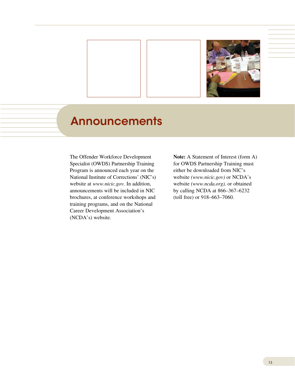

## Announcements

The Offender Workforce Development Specialist (OWDS) Partnership Training Program is announced each year on the National Institute of Corrections' (NIC's) website at *www.nicic.gov.* In addition, announcements will be included in NIC brochures, at conference workshops and training programs, and on the National Career Development Association's (NCDA's) website.

**Note:** A Statement of Interest (form A) for OWDS Partnership Training must either be downloaded from NIC's website *(www.nicic.gov)* or NCDA's website *(www.ncda.org),* or obtained by calling NCDA at 866–367–6232 (toll free) or 918–663–7060.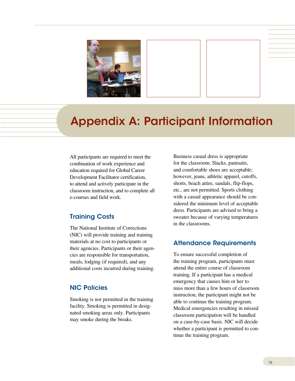

# Appendix A: Participant Information

All participants are required to meet the combination of work experience and education required for Global Career Development Facilitator certification, to attend and actively participate in the classroom instruction, and to complete all e-courses and field work.

#### Training Costs

The National Institute of Corrections (NIC) will provide training and training materials at no cost to participants or their agencies. Participants or their agencies are responsible for transportation, meals, lodging (if required), and any additional costs incurred during training.

#### NIC Policies

Smoking is not permitted in the training facility. Smoking is permitted in designated smoking areas only. Participants may smoke during the breaks.

Business casual dress is appropriate for the classroom. Slacks, pantsuits, and comfortable shoes are acceptable; however, jeans, athletic apparel, cutoffs, shorts, beach attire, sandals, flip-flops, etc., are not permitted. Sports clothing with a casual appearance should be considered the minimum level of acceptable dress. Participants are advised to bring a sweater because of varying temperatures in the classrooms.

#### Attendance Requirements

To ensure successful completion of the training program, participants must attend the entire course of classroom training. If a participant has a medical emergency that causes him or her to miss more than a few hours of classroom instruction, the participant might not be able to continue the training program. Medical emergencies resulting in missed classroom participation will be handled on a case-by-case basis. NIC will decide whether a participant is permitted to continue the training program.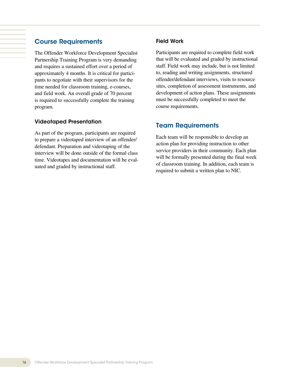#### Course Requirements

The Offender Workforce Development Specialist Partnership Training Program is very demanding and requires a sustained effort over a period of approximately 4 months. It is critical for participants to negotiate with their supervisors for the time needed for classroom training, e-courses, and field work. An overall grade of 70 percent is required to successfully complete the training program.

#### Videotaped Presentation

As part of the program, participants are required to prepare a videotaped interview of an offender/ defendant. Preparation and videotaping of the interview will be done outside of the formal class time. Videotapes and documentation will be evaluated and graded by instructional staff.

#### Field Work

Participants are required to complete field work that will be evaluated and graded by instructional staff. Field work may include, but is not limited to, reading and writing assignments, structured offender/defendant interviews, visits to resource sites, completion of assessment instruments, and development of action plans. These assignments must be successfully completed to meet the course requirements.

#### Team Requirements

Each team will be responsible to develop an action plan for providing instruction to other service providers in their community. Each plan will be formally presented during the final week of classroom training. In addition, each team is required to submit a written plan to NIC.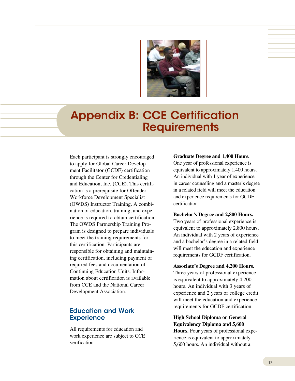

### Appendix B: CCE Certification **Requirements**

Each participant is strongly encouraged to apply for Global Career Development Facilitator (GCDF) certification through the Center for Credentialing and Education, Inc. (CCE). This certification is a prerequisite for Offender Workforce Development Specialist (OWDS) Instructor Training. A combination of education, training, and experience is required to obtain certification. The OWDS Partnership Training Program is designed to prepare individuals to meet the training requirements for this certification. Participants are responsible for obtaining and maintaining certification, including payment of required fees and documentation of Continuing Education Units. Information about certification is available from CCE and the National Career Development Association.

#### Education and Work **Experience**

All requirements for education and work experience are subject to CCE verification.

#### **Graduate Degree and 1,400 Hours.**

One year of professional experience is equivalent to approximately 1,400 hours. An individual with 1 year of experience in career counseling and a master's degree in a related field will meet the education and experience requirements for GCDF certification.

#### **Bachelor's Degree and 2,800 Hours.**

Two years of professional experience is equivalent to approximately 2,800 hours. An individual with 2 years of experience and a bachelor's degree in a related field will meet the education and experience requirements for GCDF certification.

#### **Associate's Degree and 4,200 Hours.**

Three years of professional experience is equivalent to approximately 4,200 hours. An individual with 3 years of experience and 2 years of college credit will meet the education and experience requirements for GCDF certification.

**High School Diploma or General Equivalency Diploma and 5,600 Hours.** Four years of professional experience is equivalent to approximately

5,600 hours. An individual without a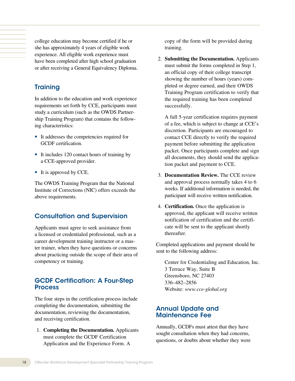college education may become certified if he or she has approximately 4 years of eligible work experience. All eligible work experience must have been completed after high school graduation or after receiving a General Equivalency Diploma.

#### **Training**

In addition to the education and work experience requirements set forth by CCE, participants must study a curriculum (such as the OWDS Partnership Training Program) that contains the following characteristics:

- It addresses the competencies required for GCDF certification.
- It includes 120 contact hours of training by a CCE-approved provider.
- It is approved by CCE.

The OWDS Training Program that the National Institute of Corrections (NIC) offers exceeds the above requirements.

#### Consultation and Supervision

Applicants must agree to seek assistance from a licensed or credentialed professional, such as a career development training instructor or a master trainer, when they have questions or concerns about practicing outside the scope of their area of competency or training.

#### GCDF Certification: A Four-Step **Process**

The four steps in the certification process include completing the documentation, submitting the documentation, reviewing the documentation, and receiving certification.

1. **Completing the Documentation.** Applicants must complete the GCDF Certification Application and the Experience Form. A

copy of the form will be provided during training.

2. **Submitting the Documentation.** Applicants must submit the forms completed in Step 1, an official copy of their college transcript showing the number of hours (years) completed or degree earned, and their OWDS Training Program certification to verify that the required training has been completed successfully.

 A full 5-year certification requires payment of a fee, which is subject to change at CCE's discretion. Participants are encouraged to contact CCE directly to verify the required payment before submitting the application packet. Once participants complete and sign all documents, they should send the application packet and payment to CCE.

- 3. **Documentation Review.** The CCE review and approval process normally takes 4 to 6 weeks. If additional information is needed, the participant will receive written notification.
- 4. **Certification.** Once the application is approved, the applicant will receive written notification of certification and the certificate will be sent to the applicant shortly thereafter.

Completed applications and payment should be sent to the following address:

 Center for Credentialing and Education, Inc. 3 Terrace Way, Suite B Greensboro, NC 27403 336–482–2856 Website: *www.cce-global.org*

#### Annual Update and Maintenance Fee

Annually, GCDFs must attest that they have sought consultation when they had concerns, questions, or doubts about whether they were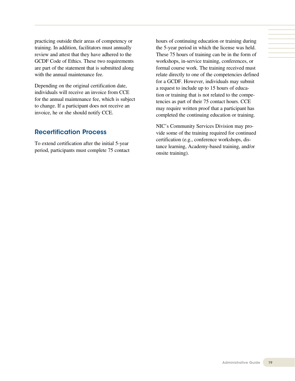practicing outside their areas of competency or training. In addition, facilitators must annually review and attest that they have adhered to the GCDF Code of Ethics. These two requirements are part of the statement that is submitted along with the annual maintenance fee.

Depending on the original certification date, individuals will receive an invoice from CCE for the annual maintenance fee, which is subject to change. If a participant does not receive an invoice, he or she should notify CCE.

#### Recertification Process

To extend certification after the initial 5-year period, participants must complete 75 contact hours of continuing education or training during the 5-year period in which the license was held. These 75 hours of training can be in the form of workshops, in-service training, conferences, or formal course work. The training received must relate directly to one of the competencies defined for a GCDF. However, individuals may submit a request to include up to 15 hours of education or training that is not related to the competencies as part of their 75 contact hours. CCE may require written proof that a participant has completed the continuing education or training.

NIC's Community Services Division may provide some of the training required for continued certification (e.g., conference workshops, distance learning, Academy-based training, and/or onsite training).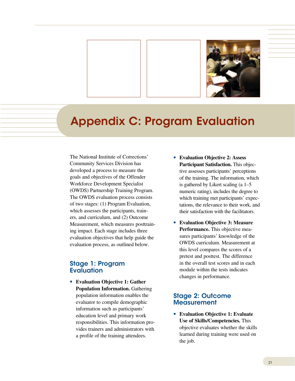

# Appendix C: Program Evaluation

The National Institute of Corrections' Community Services Division has developed a process to measure the goals and objectives of the Offender Workforce Development Specialist (OWDS) Partnership Training Program. The OWDS evaluation process consists of two stages: (1) Program Evaluation, which assesses the participants, trainers, and curriculum, and (2) Outcome Measurement, which measures posttraining impact. Each stage includes three evaluation objectives that help guide the evaluation process, as outlined below.

#### Stage 1: Program **Evaluation**

• **Evaluation Objective 1: Gather Population Information.** Gathering population information enables the evaluator to compile demographic information such as participants' education level and primary work responsibilities. This information provides trainers and administrators with a profile of the training attendees.

- • **Evaluation Objective 2: Assess Participant Satisfaction.** This objective assesses participants' perceptions of the training. The information, which is gathered by Likert scaling (a 1–5 numeric rating), includes the degree to which training met participants' expectations, the relevance to their work, and their satisfaction with the facilitators.
- • **Evaluation Objective 3: Measure Performance.** This objective measures participants' knowledge of the OWDS curriculum. Measurement at this level compares the scores of a pretest and posttest. The difference in the overall test scores and in each module within the tests indicates changes in performance.

#### Stage 2: Outcome **Measurement**

• **Evaluation Objective 1: Evaluate Use of Skills/Competencies.** This objective evaluates whether the skills learned during training were used on the job.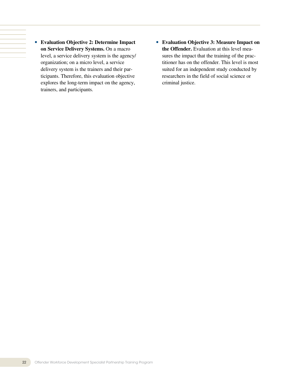- • **Evaluation Objective 2: Determine Impact on Service Delivery Systems.** On a macro level, a service delivery system is the agency/ organization; on a micro level, a service delivery system is the trainers and their participants. Therefore, this evaluation objective explores the long-term impact on the agency, trainers, and participants.
- • **Evaluation Objective 3: Measure Impact on the Offender.** Evaluation at this level measures the impact that the training of the practitioner has on the offender. This level is most suited for an independent study conducted by researchers in the field of social science or criminal justice.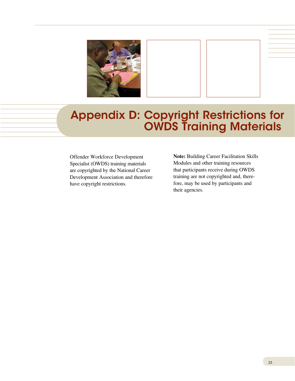

# Appendix D: Copyright Restrictions for OWDS Training Materials

Offender Workforce Development Specialist (OWDS) training materials are copyrighted by the National Career Development Association and therefore have copyright restrictions.

**Note:** Building Career Facilitation Skills Modules and other training resources that participants receive during OWDS training are not copyrighted and, therefore, may be used by participants and their agencies.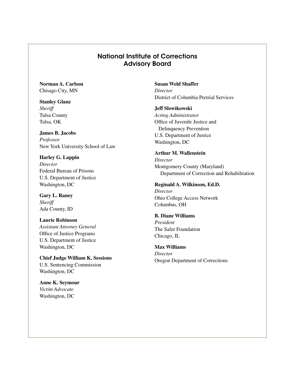#### National Institute of Corrections Advisory Board

**Norman A. Carlson** Chisago City, MN

**Stanley Glanz** *Sheriff* Tulsa County Tulsa, OK

**James B. Jacobs** *Professor* New York University School of Law

**Harley G. Lappin** *Director* Federal Bureau of Prisons U.S. Department of Justice Washington, DC

**Gary L. Raney** *Sheriff* Ada County, ID

**Laurie Robinson** *Assistant Attorney General* Office of Justice Programs U.S. Department of Justice Washington, DC

**Chief Judge William K. Sessions** U.S. Sentencing Commission Washington, DC

**Anne K. Seymour** *Victim Advocate* Washington, DC

**Susan Weld Shaffer** *Director* District of Columbia Pretrial Services

#### **Jeff Slowikowski**

*Acting Administrator* Office of Juvenile Justice and Delinquency Prevention U.S. Department of Justice Washington, DC

#### **Arthur M. Wallenstein**

*Director* Montgomery County (Maryland) Department of Correction and Rehabilitation

#### **Reginald A. Wilkinson, Ed.D.**

*Director* Ohio College Access Network Columbus, OH

#### **B. Diane Williams**

*President* The Safer Foundation Chicago, IL

**Max Williams**

*Director* Oregon Department of Corrections